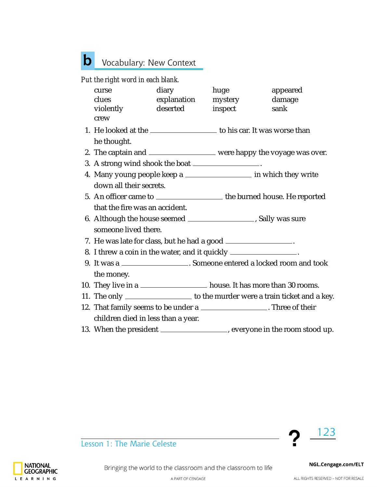## Vocabulary: New Context **b**

## *Put the right word in each blank.*

| curse                                                                         | diary               | huge    | appeared                                                                      |  |  |
|-------------------------------------------------------------------------------|---------------------|---------|-------------------------------------------------------------------------------|--|--|
| clues                                                                         | explanation mystery |         | damage                                                                        |  |  |
| violently                                                                     | deserted            | inspect | sank                                                                          |  |  |
| crew                                                                          |                     |         |                                                                               |  |  |
| 1. He looked at the _______________________ to his car. It was worse than     |                     |         |                                                                               |  |  |
| he thought.                                                                   |                     |         |                                                                               |  |  |
| 2. The captain and ____________________ were happy the voyage was over.       |                     |         |                                                                               |  |  |
| 3. A strong wind shook the boat _________________.                            |                     |         |                                                                               |  |  |
| 4. Many young people keep a                                                   |                     |         |                                                                               |  |  |
| down all their secrets.                                                       |                     |         |                                                                               |  |  |
| 5. An officer came to _________________________ the burned house. He reported |                     |         |                                                                               |  |  |
| that the fire was an accident.                                                |                     |         |                                                                               |  |  |
| 6. Although the house seemed ________________________, Sally was sure         |                     |         |                                                                               |  |  |
| someone lived there.                                                          |                     |         |                                                                               |  |  |
| 7. He was late for class, but he had a good __________________.               |                     |         |                                                                               |  |  |
| 8. I threw a coin in the water, and it quickly ________________.              |                     |         |                                                                               |  |  |
| 9. It was a _____________________. Someone entered a locked room and took     |                     |         |                                                                               |  |  |
| the money.                                                                    |                     |         |                                                                               |  |  |
| 10. They live in a _____________________ house. It has more than 30 rooms.    |                     |         |                                                                               |  |  |
|                                                                               |                     |         | 11. The only ___________________ to the murder were a train ticket and a key. |  |  |
| 12. That family seems to be under a ___________________. Three of their       |                     |         |                                                                               |  |  |
| children died in less than a year.                                            |                     |         |                                                                               |  |  |
|                                                                               |                     |         | 13. When the president _________________, everyone in the room stood up.      |  |  |



Lesson 1: The Marie Celeste



ALL RIGHTS RESERVED - NOT FOR RESALE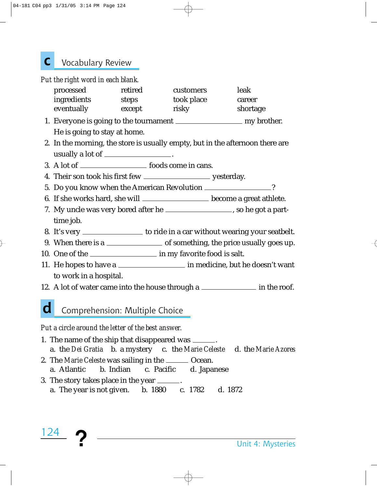## Vocabulary Review **c**

*Put the right word in each blank.*

| processed   | retired | customers  | leak     |
|-------------|---------|------------|----------|
| ingredients | steps   | took place | career   |
| eventually  | except  | risky      | shortage |

- 1. Everyone is going to the tournament my brother. He is going to stay at home.
- 2. In the morning, the store is usually empty, but in the afternoon there are usually a lot of .
- 3. A lot of foods come in cans.
- 4. Their son took his first few yesterday.
- 5. Do you know when the American Revolution \_\_\_\_\_\_\_\_\_\_\_\_\_\_\_?
- 6. If she works hard, she will \_\_\_\_\_\_\_\_\_\_\_\_\_\_\_\_\_\_\_\_\_ become a great athlete.
- 7. My uncle was very bored after he \_\_\_\_\_\_\_\_\_\_\_\_\_\_\_\_\_, so he got a parttime job.
- 8. It's very \_\_\_\_\_\_\_\_\_\_\_\_\_\_\_\_ to ride in a car without wearing your seatbelt.
- 9. When there is a <u>section of</u> something, the price usually goes up.
- 10. One of the intermed in my favorite food is salt.
- 11. He hopes to have a \_\_\_\_\_\_\_\_\_\_\_\_\_\_\_\_\_\_\_\_\_\_ in medicine, but he doesn't want to work in a hospital.
- 12. A lot of water came into the house through a **in the roof.**

#### Comprehension: Multiple Choice **d**

*Put a circle around the letter of the best answer.*

124

- 1. The name of the ship that disappeared was . a. the *Dei Gratia* b. a mystery c. the *Marie Celeste* d. the *Marie Azores*
- 2. The *Marie Celeste* was sailing in the <u>same Ocean</u>.
- a. Atlantic b. Indian c. Pacific d. Japanese
- 3. The story takes place in the year . a. The year is not given. b. 1880 c. 1782 d. 1872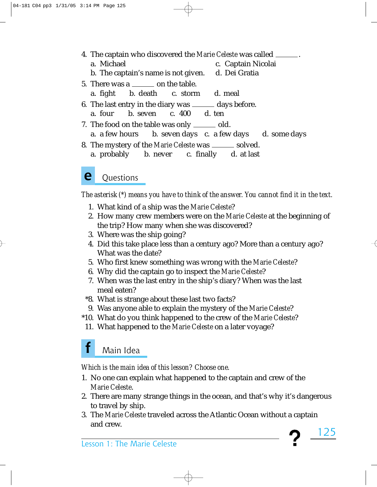- 4. The captain who discovered the *Marie Celeste* was called . a. Michael c. Captain Nicolai b. The captain's name is not given. d. Dei Gratia 5. There was a  $\_\_\_\_\_$  on the table. a. fight b. death c. storm d. meal 6. The last entry in the diary was  $\frac{d}{dx}$  days before. a. four b. seven c. 400 d. ten 7. The food on the table was only \_\_\_\_\_\_ old. a. a few hours b. seven days c. a few days d. some days 8. The mystery of the *Marie Celeste* was \_\_\_\_\_\_ solved.
	- a. probably b. never c. finally d. at last

#### **Questions e**

*The asterisk (\*) means you have to think of the answer. You cannot find it in the text.*

- 1. What kind of a ship was the *Marie Celeste*?
- 2. How many crew members were on the *Marie Celeste* at the beginning of the trip? How many when she was discovered?
- 3. Where was the ship going?
- 4. Did this take place less than a century ago? More than a century ago? What was the date?
- 5. Who first knew something was wrong with the *Marie Celeste*?
- 6. Why did the captain go to inspect the *Marie Celeste*?
- 7. When was the last entry in the ship's diary? When was the last meal eaten?
- \*8. What is strange about these last two facts?
- 9. Was anyone able to explain the mystery of the *Marie Celeste*?
- \*10. What do you think happened to the crew of the *Marie Celeste*?
- 11. What happened to the *Marie Celeste* on a later voyage?

## Main Idea **f**

*Which is the main idea of this lesson? Choose one.*

- 1. No one can explain what happened to the captain and crew of the *Marie Celeste*.
- 2. There are many strange things in the ocean, and that's why it's dangerous to travel by ship.

125

3. The *Marie Celeste* traveled across the Atlantic Ocean without a captain and crew.

Lesson 1: The Marie Celeste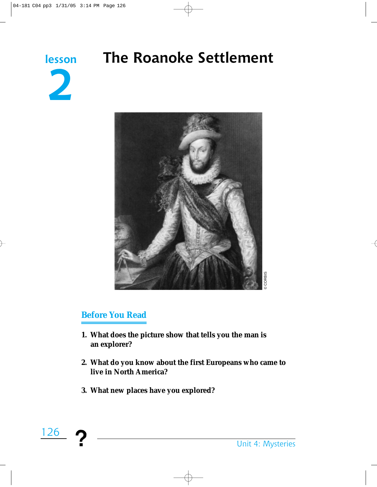

# **The Roanoke Settlement**



# **Before You Read**

- **1. What does the picture show that tells you the man is an explorer?**
- **2. What do you know about the first Europeans who came to live in North America?**
- **3. What new places have you explored?**

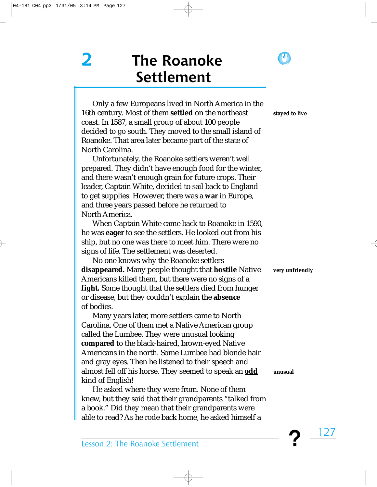**2 The Roanoke Settlement**

Only a few Europeans lived in North America in the 16th century. Most of them **settled** on the northeast coast. In 1587, a small group of about 100 people decided to go south. They moved to the small island of Roanoke. That area later became part of the state of North Carolina.

Unfortunately, the Roanoke settlers weren't well prepared. They didn't have enough food for the winter, and there wasn't enough grain for future crops. Their leader, Captain White, decided to sail back to England to get supplies. However, there was a **war** in Europe, and three years passed before he returned to North America.

When Captain White came back to Roanoke in 1590, he was **eager** to see the settlers. He looked out from his ship, but no one was there to meet him. There were no signs of life. The settlement was deserted.

No one knows why the Roanoke settlers **disappeared.** Many people thought that **hostile** Native Americans killed them, but there were no signs of a **fight.** Some thought that the settlers died from hunger or disease, but they couldn't explain the **absence** of bodies.

Many years later, more settlers came to North Carolina. One of them met a Native American group called the Lumbee. They were unusual looking **compared** to the black-haired, brown-eyed Native Americans in the north. Some Lumbee had blonde hair and gray eyes. Then he listened to their speech and almost fell off his horse. They seemed to speak an **odd** kind of English!

He asked where they were from. None of them knew, but they said that their grandparents "talked from a book." Did they mean that their grandparents were able to read? As he rode back home, he asked himself a

Lesson 2: The Roanoke Settlement

**stayed to live** 

**very unfriendly** 

**unusual**